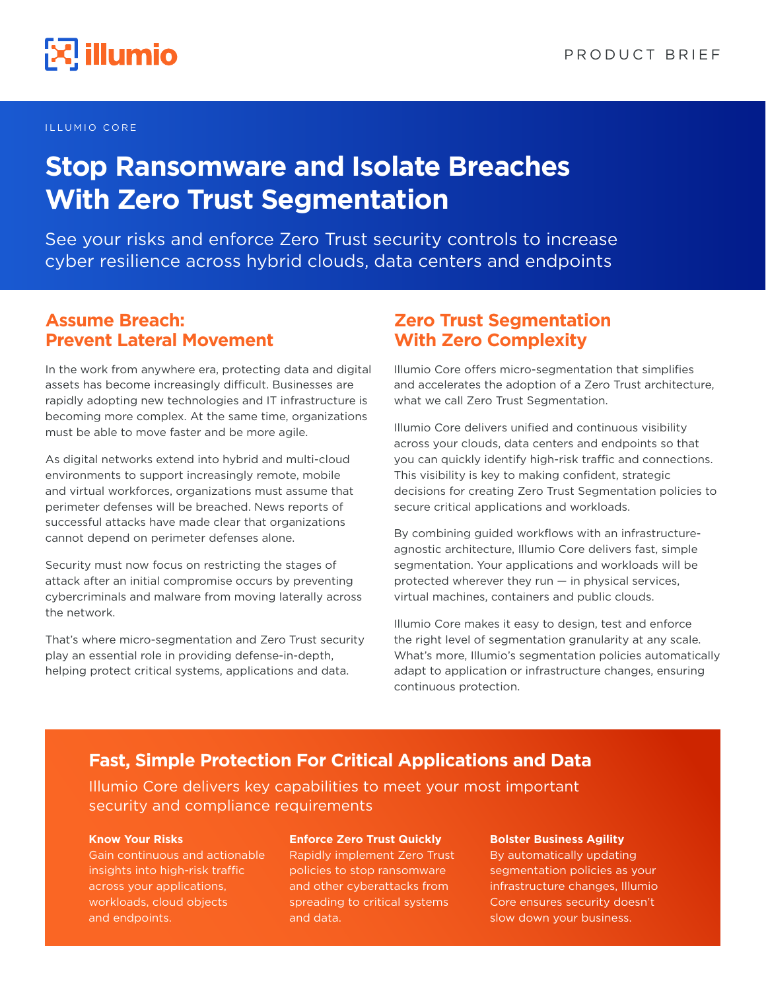

### ILLUMIO CORE

# **Stop Ransomware and Isolate Breaches With Zero Trust Segmentation**

See your risks and enforce Zero Trust security controls to increase cyber resilience across hybrid clouds, data centers and endpoints

# **Assume Breach: Prevent Lateral Movement**

In the work from anywhere era, protecting data and digital assets has become increasingly difficult. Businesses are rapidly adopting new technologies and IT infrastructure is becoming more complex. At the same time, organizations must be able to move faster and be more agile.

As digital networks extend into hybrid and multi-cloud environments to support increasingly remote, mobile and virtual workforces, organizations must assume that perimeter defenses will be breached. News reports of successful attacks have made clear that organizations cannot depend on perimeter defenses alone.

Security must now focus on restricting the stages of attack after an initial compromise occurs by preventing cybercriminals and malware from moving laterally across the network.

That's where micro-segmentation and Zero Trust security play an essential role in providing defense-in-depth, helping protect critical systems, applications and data.

## **Zero Trust Segmentation With Zero Complexity**

Illumio Core offers micro-segmentation that simplifies and accelerates the adoption of a Zero Trust architecture, what we call Zero Trust Segmentation.

Illumio Core delivers unified and continuous visibility across your clouds, data centers and endpoints so that you can quickly identify high-risk traffic and connections. This visibility is key to making confident, strategic decisions for creating Zero Trust Segmentation policies to secure critical applications and workloads.

By combining guided workflows with an infrastructureagnostic architecture, Illumio Core delivers fast, simple segmentation. Your applications and workloads will be protected wherever they run  $-$  in physical services, virtual machines, containers and public clouds.

Illumio Core makes it easy to design, test and enforce the right level of segmentation granularity at any scale. What's more, Illumio's segmentation policies automatically adapt to application or infrastructure changes, ensuring continuous protection.

### **Fast, Simple Protection For Critical Applications and Data**

Illumio Core delivers key capabilities to meet your most important security and compliance requirements

#### **Know Your Risks**

Gain continuous and actionable insights into high-risk traffic across your applications, workloads, cloud objects and endpoints.

### **Enforce Zero Trust Quickly**

Rapidly implement Zero Trust policies to stop ransomware and other cyberattacks from spreading to critical systems and data.

#### **Bolster Business Agility**

By automatically updating segmentation policies as your infrastructure changes, Illumio Core ensures security doesn't slow down your business.